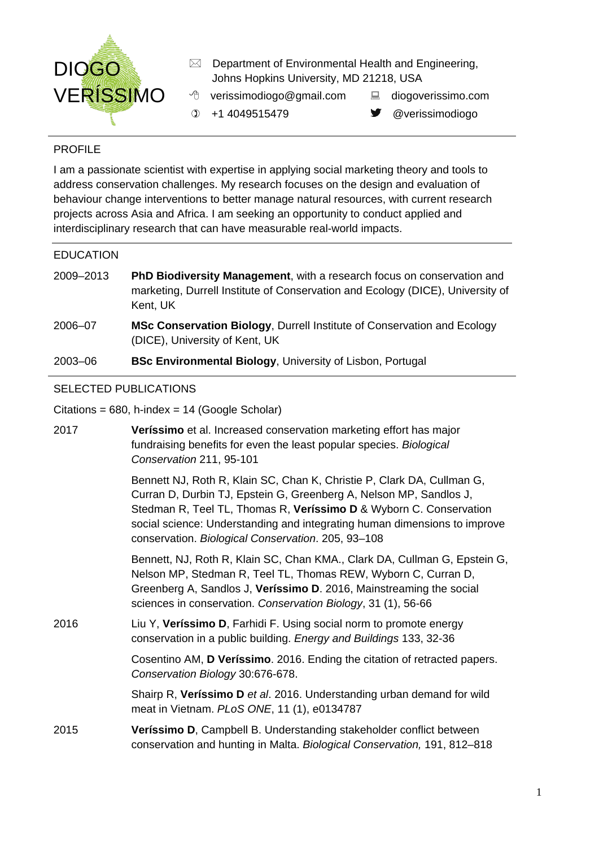

- $\boxtimes$  Department of Environmental Health and Engineering, Johns Hopkins University, MD 21218, USA
- $\Diamond$  verissimodiogo@gmail.com  $\Box$  diogoverissimo.com
	-
- **1** +1 4049515479 averissimodiogo
- 

## PROFILE

I am a passionate scientist with expertise in applying social marketing theory and tools to address conservation challenges. My research focuses on the design and evaluation of behaviour change interventions to better manage natural resources, with current research projects across Asia and Africa. I am seeking an opportunity to conduct applied and interdisciplinary research that can have measurable real-world impacts.

### EDUCATION

- 2009–2013 **PhD Biodiversity Management**, with a research focus on conservation and marketing, Durrell Institute of Conservation and Ecology (DICE), University of Kent, UK
- 2006–07 **MSc Conservation Biology**, Durrell Institute of Conservation and Ecology (DICE), University of Kent, UK

## 2003–06 **BSc Environmental Biology**, University of Lisbon, Portugal

## SELECTED PUBLICATIONS

Citations = 680, h-index = 14 (Google Scholar)

| 2017 | Veríssimo et al. Increased conservation marketing effort has major<br>fundraising benefits for even the least popular species. Biological<br>Conservation 211, 95-101                                                                                                                                                                                 |
|------|-------------------------------------------------------------------------------------------------------------------------------------------------------------------------------------------------------------------------------------------------------------------------------------------------------------------------------------------------------|
|      | Bennett NJ, Roth R, Klain SC, Chan K, Christie P, Clark DA, Cullman G,<br>Curran D, Durbin TJ, Epstein G, Greenberg A, Nelson MP, Sandlos J,<br>Stedman R, Teel TL, Thomas R, Veríssimo D & Wyborn C. Conservation<br>social science: Understanding and integrating human dimensions to improve<br>conservation. Biological Conservation. 205, 93-108 |
|      | Bennett, NJ, Roth R, Klain SC, Chan KMA., Clark DA, Cullman G, Epstein G,<br>Nelson MP, Stedman R, Teel TL, Thomas REW, Wyborn C, Curran D,<br>Greenberg A, Sandlos J, Veríssimo D. 2016, Mainstreaming the social<br>sciences in conservation. Conservation Biology, 31 (1), 56-66                                                                   |
| 2016 | Liu Y, Veríssimo D, Farhidi F. Using social norm to promote energy<br>conservation in a public building. Energy and Buildings 133, 32-36                                                                                                                                                                                                              |
|      | Cosentino AM, D Veríssimo. 2016. Ending the citation of retracted papers.<br>Conservation Biology 30:676-678.                                                                                                                                                                                                                                         |
|      | Shairp R, Veríssimo D et al. 2016. Understanding urban demand for wild<br>meat in Vietnam. PLoS ONE, 11 (1), e0134787                                                                                                                                                                                                                                 |
| 2015 | Veríssimo D, Campbell B. Understanding stakeholder conflict between<br>conservation and hunting in Malta. Biological Conservation, 191, 812-818                                                                                                                                                                                                       |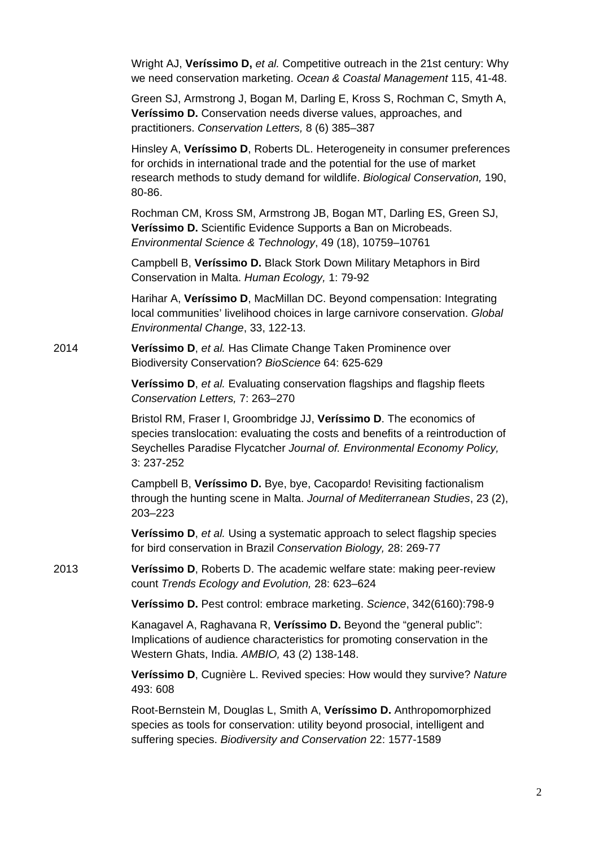Wright AJ, **Veríssimo D,** *et al.* Competitive outreach in the 21st century: Why we need conservation marketing. *Ocean & Coastal Management* 115, 41-48.

Green SJ, Armstrong J, Bogan M, Darling E, Kross S, Rochman C, Smyth A, **Veríssimo D.** Conservation needs diverse values, approaches, and practitioners. *Conservation Letters,* 8 (6) 385–387

Hinsley A, **Veríssimo D**, Roberts DL. Heterogeneity in consumer preferences for orchids in international trade and the potential for the use of market research methods to study demand for wildlife. *Biological Conservation,* 190, 80-86.

Rochman CM, Kross SM, Armstrong JB, Bogan MT, Darling ES, Green SJ, **Veríssimo D.** Scientific Evidence Supports a Ban on Microbeads. *Environmental Science & Technology*, 49 (18), 10759–10761

Campbell B, **Veríssimo D.** Black Stork Down Military Metaphors in Bird Conservation in Malta. *Human Ecology,* 1: 79-92

Harihar A, **Veríssimo D**, MacMillan DC. Beyond compensation: Integrating local communities' livelihood choices in large carnivore conservation. *Global Environmental Change*, 33, 122-13.

2014 **Veríssimo D**, *et al.* Has Climate Change Taken Prominence over Biodiversity Conservation? *BioScience* 64: 625-629

> **Veríssimo D**, *et al.* Evaluating conservation flagships and flagship fleets *Conservation Letters,* 7: 263–270

Bristol RM, Fraser I, Groombridge JJ, **Veríssimo D**. The economics of species translocation: evaluating the costs and benefits of a reintroduction of Seychelles Paradise Flycatcher *Journal of. Environmental Economy Policy,*  3: 237-252

Campbell B, **Veríssimo D.** Bye, bye, Cacopardo! Revisiting factionalism through the hunting scene in Malta. *Journal of Mediterranean Studies*, 23 (2), 203–223

**Veríssimo D**, *et al.* Using a systematic approach to select flagship species for bird conservation in Brazil *Conservation Biology,* 28: 269-77

2013 **Veríssimo D**, Roberts D. The academic welfare state: making peer-review count *Trends Ecology and Evolution,* 28: 623–624

**Veríssimo D.** Pest control: embrace marketing. *Science*, 342(6160):798-9

Kanagavel A, Raghavana R, **Veríssimo D.** Beyond the "general public": Implications of audience characteristics for promoting conservation in the Western Ghats, India. *AMBIO,* 43 (2) 138-148.

**Veríssimo D**, Cugnière L. Revived species: How would they survive? *Nature* 493: 608

Root-Bernstein M, Douglas L, Smith A, **Veríssimo D.** Anthropomorphized species as tools for conservation: utility beyond prosocial, intelligent and suffering species. *Biodiversity and Conservation* 22: 1577-1589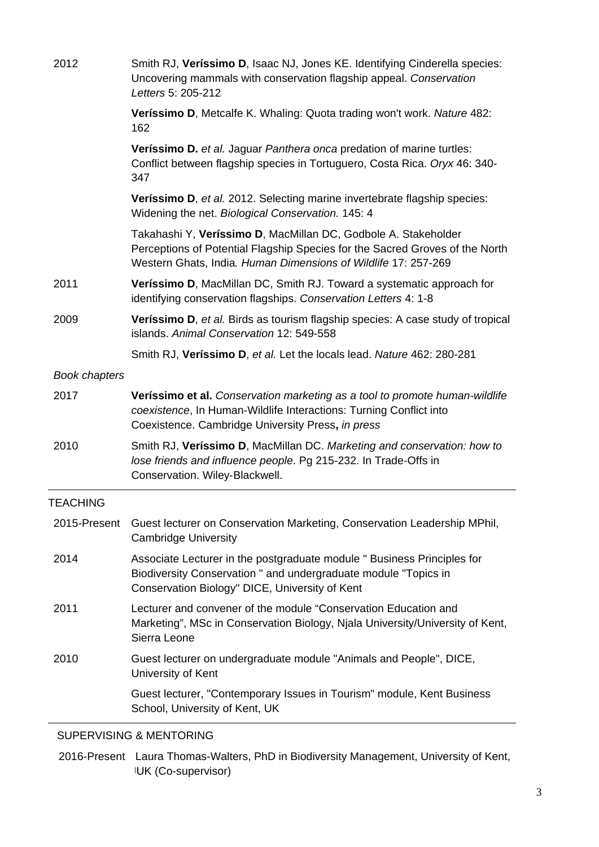| 2012                 | Smith RJ, Veríssimo D, Isaac NJ, Jones KE. Identifying Cinderella species:<br>Uncovering mammals with conservation flagship appeal. Conservation<br>Letters 5: 205-212                                           |
|----------------------|------------------------------------------------------------------------------------------------------------------------------------------------------------------------------------------------------------------|
|                      | Veríssimo D, Metcalfe K. Whaling: Quota trading won't work. Nature 482:<br>162                                                                                                                                   |
|                      | Veríssimo D. et al. Jaguar Panthera onca predation of marine turtles:<br>Conflict between flagship species in Tortuguero, Costa Rica. Oryx 46: 340-<br>347                                                       |
|                      | Veríssimo D, et al. 2012. Selecting marine invertebrate flagship species:<br>Widening the net. Biological Conservation. 145: 4                                                                                   |
|                      | Takahashi Y, Veríssimo D, MacMillan DC, Godbole A. Stakeholder<br>Perceptions of Potential Flagship Species for the Sacred Groves of the North<br>Western Ghats, India. Human Dimensions of Wildlife 17: 257-269 |
| 2011                 | Veríssimo D, MacMillan DC, Smith RJ. Toward a systematic approach for<br>identifying conservation flagships. Conservation Letters 4: 1-8                                                                         |
| 2009                 | <b>Veríssimo D, et al. Birds as tourism flagship species: A case study of tropical</b><br>islands. Animal Conservation 12: 549-558                                                                               |
|                      | Smith RJ, Veríssimo D, et al. Let the locals lead. Nature 462: 280-281                                                                                                                                           |
| <b>Book chapters</b> |                                                                                                                                                                                                                  |
| 2017                 | Veríssimo et al. Conservation marketing as a tool to promote human-wildlife<br>coexistence, In Human-Wildlife Interactions: Turning Conflict into<br>Coexistence. Cambridge University Press, in press           |
| 2010                 | Smith RJ, Veríssimo D, MacMillan DC. Marketing and conservation: how to<br>lose friends and influence people. Pg 215-232. In Trade-Offs in<br>Conservation. Wiley-Blackwell.                                     |
| <b>TEACHING</b>      |                                                                                                                                                                                                                  |
|                      | 2015-Present Guest lecturer on Conservation Marketing, Conservation Leadership MPhil,<br><b>Cambridge University</b>                                                                                             |
| 2014                 | Associate Lecturer in the postgraduate module " Business Principles for<br>Biodiversity Conservation " and undergraduate module "Topics in<br>Conservation Biology" DICE, University of Kent                     |
| 2011                 | Lecturer and convener of the module "Conservation Education and<br>Marketing", MSc in Conservation Biology, Njala University/University of Kent,<br>Sierra Leone                                                 |
| 2010                 | Guest lecturer on undergraduate module "Animals and People", DICE,<br>University of Kent                                                                                                                         |
|                      | Guest lecturer, "Contemporary Issues in Tourism" module, Kent Business<br>School, University of Kent, UK                                                                                                         |
|                      | 0.11T11T0U11C                                                                                                                                                                                                    |

## SUPERVISING & MENTORING

2016-Present Laura Thomas-Walters, PhD in Biodiversity Management, University of Kent, UK (Co-supervisor)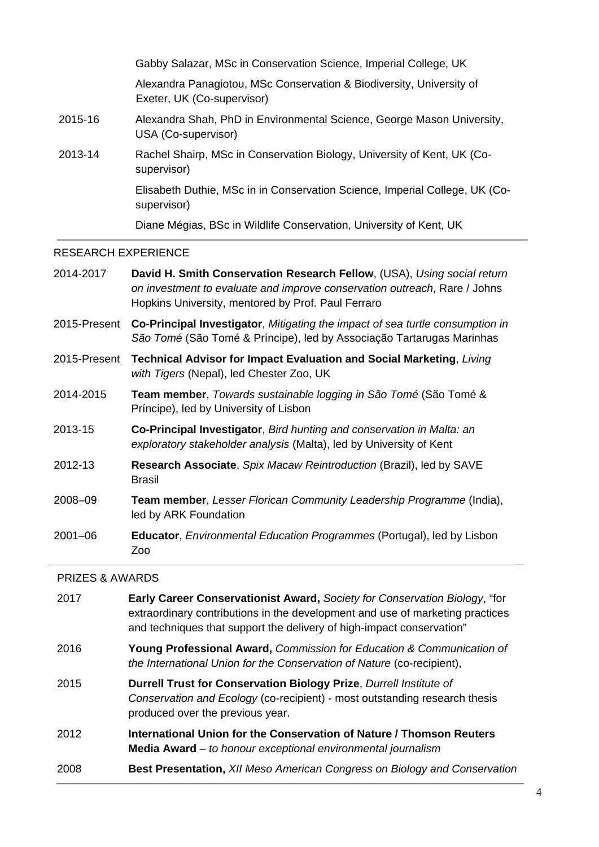Gabby Salazar, MSc in Conservation Science, Imperial College, UK Alexandra Panagiotou, MSc Conservation & Biodiversity, University of Exeter, UK (Co-supervisor) 2015-16 Alexandra Shah, PhD in Environmental Science, George Mason University, USA (Co-supervisor) 2013-14 Rachel Shairp, MSc in Conservation Biology, University of Kent, UK (Cosupervisor) Elisabeth Duthie, MSc in in Conservation Science, Imperial College, UK (Cosupervisor) Diane Mégias, BSc in Wildlife Conservation, University of Kent, UK

## RESEARCH EXPERIENCE

| 2014-2017    | David H. Smith Conservation Research Fellow, (USA), Using social return<br>on investment to evaluate and improve conservation outreach, Rare / Johns<br>Hopkins University, mentored by Prof. Paul Ferraro |
|--------------|------------------------------------------------------------------------------------------------------------------------------------------------------------------------------------------------------------|
| 2015-Present | Co-Principal Investigator, Mitigating the impact of sea turtle consumption in<br>São Tomé (São Tomé & Príncipe), led by Associação Tartarugas Marinhas                                                     |
| 2015-Present | <b>Technical Advisor for Impact Evaluation and Social Marketing, Living</b><br>with Tigers (Nepal), led Chester Zoo, UK                                                                                    |
| 2014-2015    | Team member, Towards sustainable logging in São Tomé (São Tomé &<br>Príncipe), led by University of Lisbon                                                                                                 |
| 2013-15      | Co-Principal Investigator, Bird hunting and conservation in Malta: an<br>exploratory stakeholder analysis (Malta), led by University of Kent                                                               |
| 2012-13      | Research Associate, Spix Macaw Reintroduction (Brazil), led by SAVE<br><b>Brasil</b>                                                                                                                       |
| 2008-09      | Team member, Lesser Florican Community Leadership Programme (India),<br>led by ARK Foundation                                                                                                              |
| $2001 - 06$  | <b>Educator, Environmental Education Programmes (Portugal), led by Lisbon</b><br>Zoo                                                                                                                       |

### PRIZES & AWARDS

| 2017 | Early Career Conservationist Award, Society for Conservation Biology, "for<br>extraordinary contributions in the development and use of marketing practices<br>and techniques that support the delivery of high-impact conservation" |
|------|--------------------------------------------------------------------------------------------------------------------------------------------------------------------------------------------------------------------------------------|
| 2016 | <b>Young Professional Award, Commission for Education &amp; Communication of</b><br>the International Union for the Conservation of Nature (co-recipient),                                                                           |
| 2015 | Durrell Trust for Conservation Biology Prize, Durrell Institute of<br>Conservation and Ecology (co-recipient) - most outstanding research thesis<br>produced over the previous year.                                                 |
| 2012 | International Union for the Conservation of Nature / Thomson Reuters<br><b>Media Award</b> $-$ to honour exceptional environmental journalism                                                                                        |
| 2008 | <b>Best Presentation, XII Meso American Congress on Biology and Conservation</b>                                                                                                                                                     |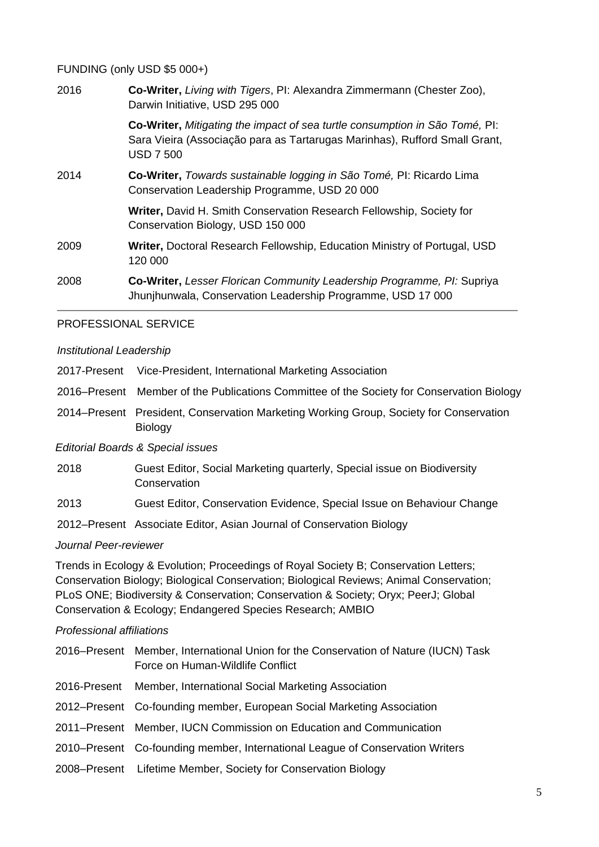### FUNDING (only USD \$5 000+)

| 2016 | Co-Writer, Living with Tigers, PI: Alexandra Zimmermann (Chester Zoo),<br>Darwin Initiative, USD 295 000                                                                             |
|------|--------------------------------------------------------------------------------------------------------------------------------------------------------------------------------------|
|      | <b>Co-Writer,</b> Mitigating the impact of sea turtle consumption in São Tomé, PI:<br>Sara Vieira (Associação para as Tartarugas Marinhas), Rufford Small Grant,<br><b>USD 7 500</b> |
| 2014 | Co-Writer, Towards sustainable logging in São Tomé, PI: Ricardo Lima<br>Conservation Leadership Programme, USD 20 000                                                                |
|      | Writer, David H. Smith Conservation Research Fellowship, Society for<br>Conservation Biology, USD 150 000                                                                            |
| 2009 | <b>Writer, Doctoral Research Fellowship, Education Ministry of Portugal, USD</b><br>120 000                                                                                          |
| 2008 | <b>Co-Writer, Lesser Florican Community Leadership Programme, PI: Supriya</b><br>Jhunjhunwala, Conservation Leadership Programme, USD 17 000                                         |

## PROFESSIONAL SERVICE

#### *Institutional Leadership*

| 2017-Present | Vice-President, International Marketing Association |  |  |
|--------------|-----------------------------------------------------|--|--|
|              |                                                     |  |  |

- 2016–Present Member of the Publications Committee of the Society for Conservation Biology
- 2014–Present President, Conservation Marketing Working Group, Society for Conservation Biology

*Editorial Boards & Special issues*

- 2018 Guest Editor, Social Marketing quarterly, Special issue on Biodiversity **Conservation**
- 2013 Guest Editor, Conservation Evidence, Special Issue on Behaviour Change

2012–Present Associate Editor, Asian Journal of Conservation Biology

### *Journal Peer-reviewer*

Trends in Ecology & Evolution; Proceedings of Royal Society B; Conservation Letters; Conservation Biology; Biological Conservation; Biological Reviews; Animal Conservation; PLoS ONE; Biodiversity & Conservation; Conservation & Society; Oryx; PeerJ; Global Conservation & Ecology; Endangered Species Research; AMBIO

### *Professional affiliations*

| 2016–Present Member, International Union for the Conservation of Nature (IUCN) Task<br>Force on Human-Wildlife Conflict |
|-------------------------------------------------------------------------------------------------------------------------|
| 2016-Present Member, International Social Marketing Association                                                         |
| 2012–Present Co-founding member, European Social Marketing Association                                                  |
| 2011–Present Member, IUCN Commission on Education and Communication                                                     |
| 2010–Present Co-founding member, International League of Conservation Writers                                           |
| 2008–Present Lifetime Member, Society for Conservation Biology                                                          |